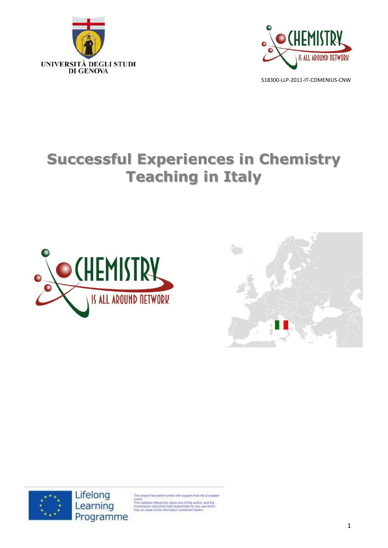



# **Successful Experiences in Chemistry Teaching in Italy**







project has been funded with support from the European

Union.<br>This material reflects the views only of the author, and the<br>Commission cannot be held responsible for any use which<br>may be made of the information contained therein.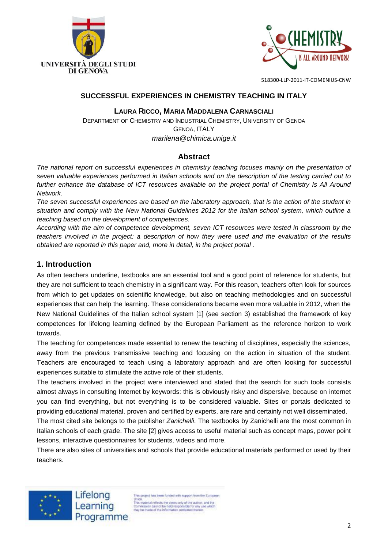



#### **SUCCESSFUL EXPERIENCES IN CHEMISTRY TEACHING IN ITALY**

#### **LAURA RICCO, MARIA MADDALENA CARNASCIALI**

DEPARTMENT OF CHEMISTRY AND INDUSTRIAL CHEMISTRY, UNIVERSITY OF GENOA GENOA, ITALY *marilena@chimica.unige.it*

## **Abstract**

*The national report on successful experiences in chemistry teaching focuses mainly on the presentation of seven valuable experiences performed in Italian schools and on the description of the testing carried out to further enhance the database of ICT resources available on the project portal of Chemistry Is All Around Network.*

*The seven successful experiences are based on the laboratory approach, that is the action of the student in situation and comply with the New National Guidelines 2012 for the Italian school system, which outline a teaching based on the development of competences.*

*According with the aim of competence development, seven ICT resources were tested in classroom by the teachers involved in the project: a description of how they were used and the evaluation of the results obtained are reported in this paper and, more in detail, in the project portal .*

## **1. Introduction**

As often teachers underline, textbooks are an essential tool and a good point of reference for students, but they are not sufficient to teach chemistry in a significant way. For this reason, teachers often look for sources from which to get updates on scientific knowledge, but also on teaching methodologies and on successful experiences that can help the learning. These considerations became even more valuable in 2012, when the New National Guidelines of the Italian school system [1] (see section 3) established the framework of key competences for lifelong learning defined by the European Parliament as the reference horizon to work towards.

The teaching for competences made essential to renew the teaching of disciplines, especially the sciences, away from the previous transmissive teaching and focusing on the action in situation of the student. Teachers are encouraged to teach using a laboratory approach and are often looking for successful experiences suitable to stimulate the active role of their students.

The teachers involved in the project were interviewed and stated that the search for such tools consists almost always in consulting Internet by keywords: this is obviously risky and dispersive, because on internet you can find everything, but not everything is to be considered valuable. Sites or portals dedicated to providing educational material, proven and certified by experts, are rare and certainly not well disseminated.

The most cited site belongs to the publisher *Zanichelli*. The textbooks by Zanichelli are the most common in Italian schools of each grade. The site [2] gives access to useful material such as concept maps, power point lessons, interactive questionnaires for students, videos and more.

There are also sites of universities and schools that provide educational materials performed or used by their teachers.



Lifelong Learning Programme

his project has been funded with support from the European Union<br>This material reflects the views only of the author, and the<br>Commission cannot be held responsible for any use which<br>may be made of the information contained therein.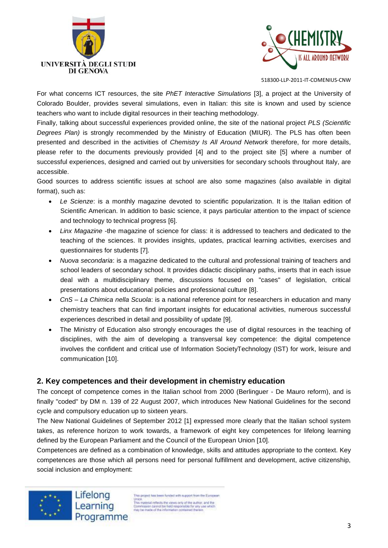



For what concerns ICT resources, the site *PhET Interactive Simulations* [3], a project at the University of Colorado Boulder, provides several simulations, even in Italian: this site is known and used by science teachers who want to include digital resources in their teaching methodology.

Finally, talking about successful experiences provided online, the site of the national project *PLS (Scientific Degrees Plan)* is strongly recommended by the Ministry of Education (MIUR). The PLS has often been presented and described in the activities of *Chemistry Is All Around Network* therefore, for more details, please refer to the documents previously provided [4] and to the project site [5] where a number of successful experiences, designed and carried out by universities for secondary schools throughout Italy, are accessible.

Good sources to address scientific issues at school are also some magazines (also available in digital format), such as:

- *Le Scienze*: is a monthly magazine devoted to scientific popularization. It is the Italian edition of Scientific American. In addition to basic science, it pays particular attention to the impact of science and technology to technical progress [6].
- *Linx Magazine* -the magazine of science for class: it is addressed to teachers and dedicated to the teaching of the sciences. It provides insights, updates, practical learning activities, exercises and questionnaires for students [7].
- *Nuova secondaria*: is a magazine dedicated to the cultural and professional training of teachers and school leaders of secondary school. It provides didactic disciplinary paths, inserts that in each issue deal with a multidisciplinary theme, discussions focused on "cases" of legislation, critical presentations about educational policies and professional culture [8].
- *CnS – La Chimica nella Scuola*: is a national reference point for researchers in education and many chemistry teachers that can find important insights for educational activities, numerous successful experiences described in detail and possibility of update [9].
- The Ministry of Education also strongly encourages the use of digital resources in the teaching of disciplines, with the aim of developing a transversal key competence: the digital competence involves the confident and critical use of Information SocietyTechnology (IST) for work, leisure and communication [10].

# **2. Key competences and their development in chemistry education**

The concept of competence comes in the Italian school from 2000 (Berlinguer - De Mauro reform), and is finally "coded" by DM n. 139 of 22 August 2007, which introduces New National Guidelines for the second cycle and compulsory education up to sixteen years.

The New National Guidelines of September 2012 [1] expressed more clearly that the Italian school system takes, as reference horizon to work towards, a framework of eight key competences for lifelong learning defined by the European Parliament and the Council of the European Union [10].

Competences are defined as a combination of knowledge, skills and attitudes appropriate to the context. Key competences are those which all persons need for personal fulfillment and development, active citizenship, social inclusion and employment:



is project has been funded with support from the European Union<br>This material reflects the views only of the author, and the<br>Commission cannot be held responsible for any use which<br>may be made of the information contained therein. Programme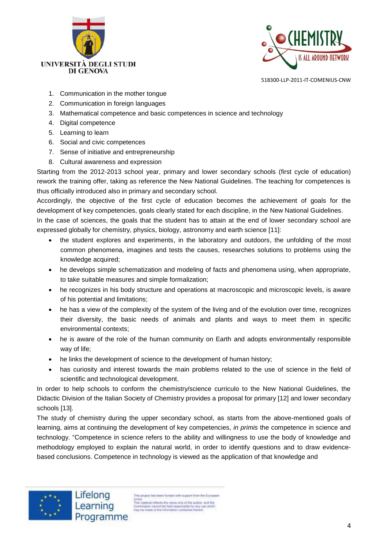



- 1. Communication in the mother tongue
- 2. Communication in foreign languages
- 3. Mathematical competence and basic competences in science and technology
- 4. Digital competence
- 5. Learning to learn
- 6. Social and civic competences
- 7. Sense of initiative and entrepreneurship
- 8. Cultural awareness and expression

Starting from the 2012-2013 school year, primary and lower secondary schools (first cycle of education) rework the training offer, taking as reference the New National Guidelines. The teaching for competences is thus officially introduced also in primary and secondary school.

Accordingly, the objective of the first cycle of education becomes the achievement of goals for the development of key competencies, goals clearly stated for each discipline, in the New National Guidelines.

In the case of sciences, the goals that the student has to attain at the end of lower secondary school are expressed globally for chemistry, physics, biology, astronomy and earth science [11]:

- the student explores and experiments, in the laboratory and outdoors, the unfolding of the most common phenomena, imagines and tests the causes, researches solutions to problems using the knowledge acquired;
- he develops simple schematization and modeling of facts and phenomena using, when appropriate, to take suitable measures and simple formalization;
- he recognizes in his body structure and operations at macroscopic and microscopic levels, is aware of his potential and limitations;
- he has a view of the complexity of the system of the living and of the evolution over time, recognizes their diversity, the basic needs of animals and plants and ways to meet them in specific environmental contexts;
- he is aware of the role of the human community on Earth and adopts environmentally responsible way of life;
- he links the development of science to the development of human history;
- has curiosity and interest towards the main problems related to the use of science in the field of scientific and technological development.

In order to help schools to conform the chemistry/science curriculo to the New National Guidelines, the Didactic Division of the Italian Society of Chemistry provides a proposal for primary [12] and lower secondary schools [13].

The study of chemistry during the upper secondary school, as starts from the above-mentioned goals of learning, aims at continuing the development of key competencies, *in primis* the competence in science and technology. "Competence in science refers to the ability and willingness to use the body of knowledge and methodology employed to explain the natural world, in order to identify questions and to draw evidencebased conclusions. Competence in technology is viewed as the application of that knowledge and



is project has been funded with support from the European Union.<br>This material reflects the views only of the author, and the<br>Dommassion cannot be held responsible for any use which<br>may be made of the information contained therein.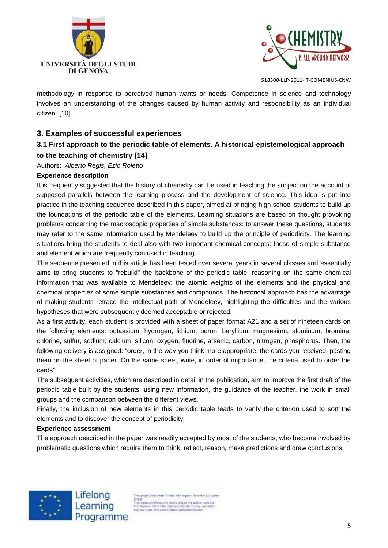



methodology in response to perceived human wants or needs. Competence in science and technology involves an understanding of the changes caused by human activity and responsibility as an individual citizen" [10].

# **3. Examples of successful experiences**

# **3.1 First approach to the periodic table of elements. A historical-epistemological approach to the teaching of chemistry [14]**

Authors**:** *Alberto Regis, Ezio Roletto*

#### **Experience description**

It is frequently suggested that the history of chemistry can be used in teaching the subject on the account of supposed parallels between the learning process and the development of science. This idea is put into practice in the teaching sequence described in this paper, aimed at bringing high school students to build up the foundations of the periodic table of the elements. Learning situations are based on thought provoking problems concerning the macroscopic properties of simple substances: to answer these questions, students may refer to the same information used by Mendeleev to build up the principle of periodicity. The learning situations bring the students to deal also with two important chemical concepts: those of simple substance and element which are frequently confused in teaching.

The sequence presented in this article has been tested over several years in several classes and essentially aims to bring students to "rebuild" the backbone of the periodic table, reasoning on the same chemical information that was available to Mendeleev: the atomic weights of the elements and the physical and chemical properties of some simple substances and compounds. The historical approach has the advantage of making students retrace the intellectual path of Mendeleev, highlighting the difficulties and the various hypotheses that were subsequently deemed acceptable or rejected.

As a first activity, each student is provided with a sheet of paper format A21 and a set of nineteen cards on the following elements: potassium, hydrogen, lithium, boron, beryllium, magnesium, aluminum, bromine, chlorine, sulfur, sodium, calcium, silicon, oxygen, fluorine, arsenic, carbon, nitrogen, phosphorus. Then, the following delivery is assigned: "order, in the way you think more appropriate, the cards you received, pasting them on the sheet of paper. On the same sheet, write, in order of importance, the criteria used to order the cards".

The subsequent activities, which are described in detail in the publication, aim to improve the first draft of the periodic table built by the students, using new information, the guidance of the teacher, the work in small groups and the comparison between the different views.

Finally, the inclusion of new elements in this periodic table leads to verify the criterion used to sort the elements and to discover the concept of periodicity.

#### **Experience assessment**

The approach described in the paper was readily accepted by most of the students, who become involved by problematic questions which require them to think, reflect, reason, make predictions and draw conclusions.



Lifelong Learning Programme

his project has been funded with support from the European Union<br>This material reflects the views only of the author, and the<br>Commission cannot be held responsible for any use which<br>may be made of the information contained therein.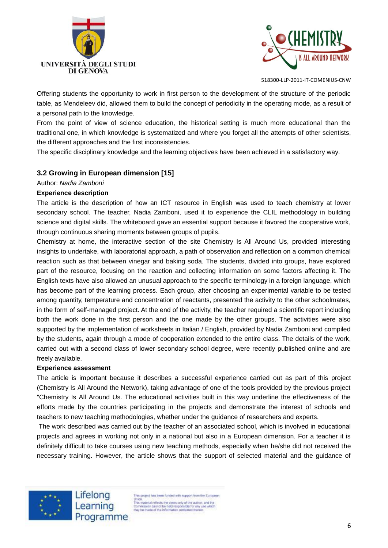



Offering students the opportunity to work in first person to the development of the structure of the periodic table, as Mendeleev did, allowed them to build the concept of periodicity in the operating mode, as a result of a personal path to the knowledge.

From the point of view of science education, the historical setting is much more educational than the traditional one, in which knowledge is systematized and where you forget all the attempts of other scientists, the different approaches and the first inconsistencies.

The specific disciplinary knowledge and the learning objectives have been achieved in a satisfactory way.

# **3.2 Growing in European dimension [15]**

#### Author: *Nadia Zamboni*

#### **Experience description**

The article is the description of how an ICT resource in English was used to teach chemistry at lower secondary school. The teacher, Nadia Zamboni, used it to experience the CLIL methodology in building science and digital skills. The whiteboard gave an essential support because it favored the cooperative work, through continuous sharing moments between groups of pupils.

Chemistry at home, the interactive section of the site Chemistry Is All Around Us, provided interesting insights to undertake, with laboratorial approach, a path of observation and reflection on a common chemical reaction such as that between vinegar and baking soda. The students, divided into groups, have explored part of the resource, focusing on the reaction and collecting information on some factors affecting it. The English texts have also allowed an unusual approach to the specific terminology in a foreign language, which has become part of the learning process. Each group, after choosing an experimental variable to be tested among quantity, temperature and concentration of reactants, presented the activity to the other schoolmates, in the form of self-managed project. At the end of the activity, the teacher required a scientific report including both the work done in the first person and the one made by the other groups. The activities were also supported by the implementation of worksheets in Italian / English, provided by Nadia Zamboni and compiled by the students, again through a mode of cooperation extended to the entire class. The details of the work, carried out with a second class of lower secondary school degree, were recently published online and are freely available.

#### **Experience assessment**

The article is important because it describes a successful experience carried out as part of this project (Chemistry Is All Around the Network), taking advantage of one of the tools provided by the previous project "Chemistry Is All Around Us. The educational activities built in this way underline the effectiveness of the efforts made by the countries participating in the projects and demonstrate the interest of schools and teachers to new teaching methodologies, whether under the guidance of researchers and experts.

The work described was carried out by the teacher of an associated school, which is involved in educational projects and agrees in working not only in a national but also in a European dimension. For a teacher it is definitely difficult to take courses using new teaching methods, especially when he/she did not received the necessary training. However, the article shows that the support of selected material and the guidance of



Lifelong Learning Programme

his project has been funded with support from the European Union.<br>
This transition feeds the views only of the author, and the<br>
This transition cannot be hidd responsible for any use which<br>
may be made of the information contained therein.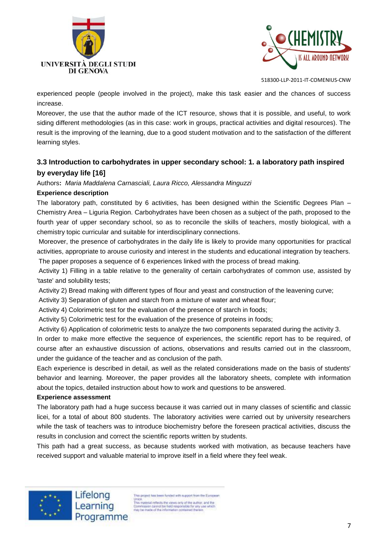



experienced people (people involved in the project), make this task easier and the chances of success increase.

Moreover, the use that the author made of the ICT resource, shows that it is possible, and useful, to work siding different methodologies (as in this case: work in groups, practical activities and digital resources). The result is the improving of the learning, due to a good student motivation and to the satisfaction of the different learning styles.

# **3.3 Introduction to carbohydrates in upper secondary school: 1. a laboratory path inspired by everyday life [16]**

Authors**:** *Maria Maddalena Carnasciali, Laura Ricco, Alessandra Minguzzi*

#### **Experience description**

The laboratory path, constituted by 6 activities, has been designed within the Scientific Degrees Plan – Chemistry Area – Liguria Region. Carbohydrates have been chosen as a subject of the path, proposed to the fourth year of upper secondary school, so as to reconcile the skills of teachers, mostly biological, with a chemistry topic curricular and suitable for interdisciplinary connections.

Moreover, the presence of carbohydrates in the daily life is likely to provide many opportunities for practical activities, appropriate to arouse curiosity and interest in the students and educational integration by teachers. The paper proposes a sequence of 6 experiences linked with the process of bread making.

Activity 1) Filling in a table relative to the generality of certain carbohydrates of common use, assisted by 'taste' and solubility tests;

Activity 2) Bread making with different types of flour and yeast and construction of the leavening curve;

Activity 3) Separation of gluten and starch from a mixture of water and wheat flour;

Activity 4) Colorimetric test for the evaluation of the presence of starch in foods;

Activity 5) Colorimetric test for the evaluation of the presence of proteins in foods;

Activity 6) Application of colorimetric tests to analyze the two components separated during the activity 3.

In order to make more effective the sequence of experiences, the scientific report has to be required, of course after an exhaustive discussion of actions, observations and results carried out in the classroom, under the guidance of the teacher and as conclusion of the path.

Each experience is described in detail, as well as the related considerations made on the basis of students' behavior and learning. Moreover, the paper provides all the laboratory sheets, complete with information about the topics, detailed instruction about how to work and questions to be answered.

#### **Experience assessment**

The laboratory path had a huge success because it was carried out in many classes of scientific and classic licei, for a total of about 800 students. The laboratory activities were carried out by university researchers while the task of teachers was to introduce biochemistry before the foreseen practical activities, discuss the results in conclusion and correct the scientific reports written by students.

This path had a great success, as because students worked with motivation, as because teachers have received support and valuable material to improve itself in a field where they feel weak.



his project has been funded with support from the European Union<br>
This material reflects the views only of the author, and the<br>
This material reflects the views only of the author, and the<br>
Dommasion cannot be held responsible for any use which<br>
may be made of the information cont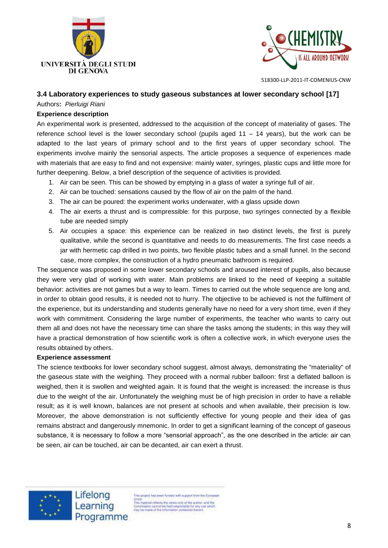



#### **3.4 Laboratory experiences to study gaseous substances at lower secondary school [17]**

## Authors**:** *Pierluigi Riani*

#### **Experience description**

An experimental work is presented, addressed to the acquisition of the concept of materiality of gases. The reference school level is the lower secondary school (pupils aged 11 – 14 years), but the work can be adapted to the last years of primary school and to the first years of upper secondary school. The experiments involve mainly the sensorial aspects. The article proposes a sequence of experiences made with materials that are easy to find and not expensive: mainly water, syringes, plastic cups and little more for further deepening. Below, a brief description of the sequence of activities is provided.

- 1. Air can be seen. This can be showed by emptying in a glass of water a syringe full of air.
- 2. Air can be touched: sensations caused by the flow of air on the palm of the hand.
- 3. The air can be poured: the experiment works underwater, with a glass upside down
- 4. The air exerts a thrust and is compressible: for this purpose, two syringes connected by a flexible tube are needed simply
- 5. Air occupies a space: this experience can be realized in two distinct levels, the first is purely qualitative, while the second is quantitative and needs to do measurements. The first case needs a jar with hermetic cap drilled in two points, two flexible plastic tubes and a small funnel. In the second case, more complex, the construction of a hydro pneumatic bathroom is required.

The sequence was proposed in some lower secondary schools and aroused interest of pupils, also because they were very glad of working with water. Main problems are linked to the need of keeping a suitable behavior: activities are not games but a way to learn. Times to carried out the whole sequence are long and, in order to obtain good results, it is needed not to hurry. The objective to be achieved is not the fulfilment of the experience, but its understanding and students generally have no need for a very short time, even if they work with commitment. Considering the large number of experiments, the teacher who wants to carry out them all and does not have the necessary time can share the tasks among the students; in this way they will have a practical demonstration of how scientific work is often a collective work, in which everyone uses the results obtained by others.

#### **Experience assessment**

The science textbooks for lower secondary school suggest, almost always, demonstrating the "materiality" of the gaseous state with the weighing. They proceed with a normal rubber balloon: first a deflated balloon is weighed, then it is swollen and weighted again. It is found that the weight is increased: the increase is thus due to the weight of the air. Unfortunately the weighing must be of high precision in order to have a reliable result; as it is well known, balances are not present at schools and when available, their precision is low. Moreover, the above demonstration is not sufficiently effective for young people and their idea of gas remains abstract and dangerously mnemonic. In order to get a significant learning of the concept of gaseous substance, it is necessary to follow a more "sensorial approach", as the one described in the article: air can be seen, air can be touched, air can be decanted, air can exert a thrust.



Lifelong Learning Programme

his project has been funded with support from the European Union<br>This material reflects the views only of the author, and the<br>Commission cannot be held responsible for any use which<br>may be made of the information contained therein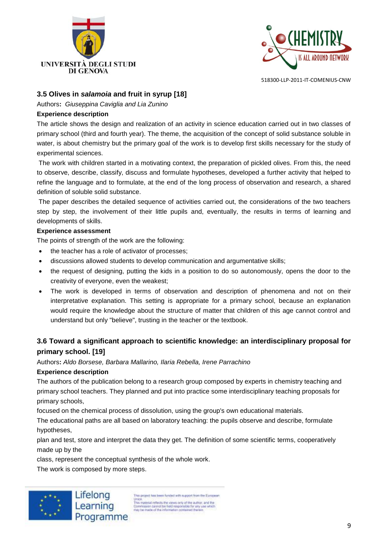



## **3.5 Olives in** *salamoia* **and fruit in syrup [18]**

Authors**:** *Giuseppina Caviglia and Lia Zunino*

#### **Experience description**

The article shows the design and realization of an activity in science education carried out in two classes of primary school (third and fourth year). The theme, the acquisition of the concept of solid substance soluble in water, is about chemistry but the primary goal of the work is to develop first skills necessary for the study of experimental sciences.

The work with children started in a motivating context, the preparation of pickled olives. From this, the need to observe, describe, classify, discuss and formulate hypotheses, developed a further activity that helped to refine the language and to formulate, at the end of the long process of observation and research, a shared definition of soluble solid substance.

The paper describes the detailed sequence of activities carried out, the considerations of the two teachers step by step, the involvement of their little pupils and, eventually, the results in terms of learning and developments of skills.

#### **Experience assessment**

The points of strength of the work are the following:

- the teacher has a role of activator of processes;
- discussions allowed students to develop communication and argumentative skills;
- the request of designing, putting the kids in a position to do so autonomously, opens the door to the creativity of everyone, even the weakest;
- The work is developed in terms of observation and description of phenomena and not on their interpretative explanation. This setting is appropriate for a primary school, because an explanation would require the knowledge about the structure of matter that children of this age cannot control and understand but only "believe", trusting in the teacher or the textbook.

# **3.6 Toward a significant approach to scientific knowledge: an interdisciplinary proposal for primary school. [19]**

Authors**:** *Aldo Borsese, Barbara Mallarino, Ilaria Rebella, Irene Parrachino*

## **Experience description**

The authors of the publication belong to a research group composed by experts in chemistry teaching and primary school teachers. They planned and put into practice some interdisciplinary teaching proposals for primary schools,

focused on the chemical process of dissolution, using the group's own educational materials.

The educational paths are all based on laboratory teaching: the pupils observe and describe, formulate hypotheses,

plan and test, store and interpret the data they get. The definition of some scientific terms, cooperatively made up by the

class, represent the conceptual synthesis of the whole work.

The work is composed by more steps.



is project has been funded with support from the European Union.<br>This material reflects the views only of the author, and the<br>Dommassion cannot be held responsible for any use which<br>may be made of the information contained therein. Programme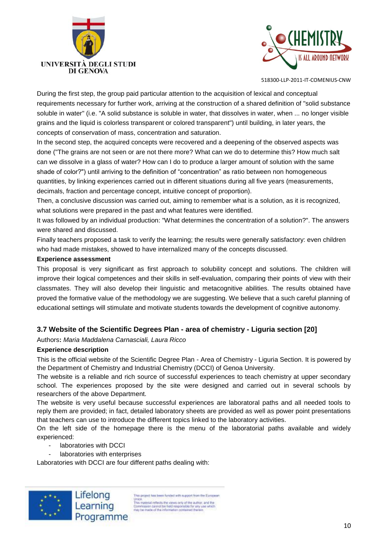



During the first step, the group paid particular attention to the acquisition of lexical and conceptual requirements necessary for further work, arriving at the construction of a shared definition of "solid substance soluble in water" (i.e. "A solid substance is soluble in water, that dissolves in water, when ... no longer visible grains and the liquid is colorless transparent or colored transparent") until building, in later years, the concepts of conservation of mass, concentration and saturation.

In the second step, the acquired concepts were recovered and a deepening of the observed aspects was done ("The grains are not seen or are not there more? What can we do to determine this? How much salt can we dissolve in a glass of water? How can I do to produce a larger amount of solution with the same shade of color?") until arriving to the definition of "concentration" as ratio between non homogeneous quantities, by linking experiences carried out in different situations during all five years (measurements, decimals, fraction and percentage concept, intuitive concept of proportion).

Then, a conclusive discussion was carried out, aiming to remember what is a solution, as it is recognized, what solutions were prepared in the past and what features were identified.

It was followed by an individual production: "What determines the concentration of a solution?". The answers were shared and discussed.

Finally teachers proposed a task to verify the learning; the results were generally satisfactory: even children who had made mistakes, showed to have internalized many of the concepts discussed.

#### **Experience assessment**

This proposal is very significant as first approach to solubility concept and solutions. The children will improve their logical competences and their skills in self-evaluation, comparing their points of view with their classmates. They will also develop their linguistic and metacognitive abilities. The results obtained have proved the formative value of the methodology we are suggesting. We believe that a such careful planning of educational settings will stimulate and motivate students towards the development of cognitive autonomy.

## **3.7 Website of the Scientific Degrees Plan - area of chemistry - Liguria section [20]**

Authors**:** *Maria Maddalena Carnasciali, Laura Ricco*

#### **Experience description**

This is the official website of the Scientific Degree Plan - Area of Chemistry - Liguria Section. It is powered by the Department of Chemistry and Industrial Chemistry (DCCI) of Genoa University.

The website is a reliable and rich source of successful experiences to teach chemistry at upper secondary school. The experiences proposed by the site were designed and carried out in several schools by researchers of the above Department.

The website is very useful because successful experiences are laboratoral paths and all needed tools to reply them are provided; in fact, detailed laboratory sheets are provided as well as power point presentations that teachers can use to introduce the different topics linked to the laboratory activities.

On the left side of the homepage there is the menu of the laboratorial paths available and widely experienced:

- laboratories with DCCI
- laboratories with enterprises

Laboratories with DCCI are four different paths dealing with:



his project has been funded with support from the European Union.<br>
This material reflects the views only of the author, and the<br>
This may be made of the information contained themen<br>
may be made of the information contained themen<br>
may be made of the information contained themen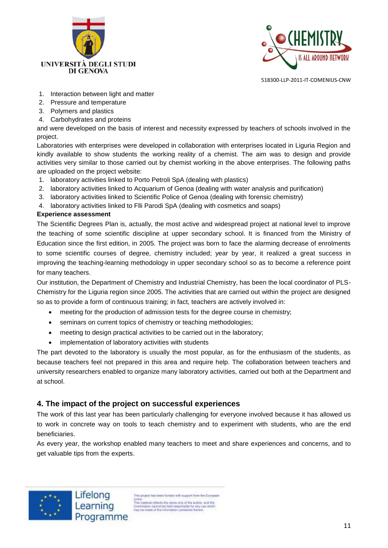



- 1. Interaction between light and matter
- 2. Pressure and temperature
- 3. Polymers and plastics
- 4. Carbohydrates and proteins

and were developed on the basis of interest and necessity expressed by teachers of schools involved in the project.

Laboratories with enterprises were developed in collaboration with enterprises located in Liguria Region and kindly available to show students the working reality of a chemist. The aim was to design and provide activities very similar to those carried out by chemist working in the above enterprises. The following paths are uploaded on the project website:

- 1. laboratory activities linked to Porto Petroli SpA (dealing with plastics)
- 2. laboratory activities linked to Acquarium of Genoa (dealing with water analysis and purification)
- 3. laboratory activities linked to Scientific Police of Genoa (dealing with forensic chemistry)
- 4. laboratory activities linked to Flli Parodi SpA (dealing with cosmetics and soaps)

## **Experience assessment**

The Scientific Degrees Plan is, actually, the most active and widespread project at national level to improve the teaching of some scientific discipline at upper secondary school. It is financed from the Ministry of Education since the first edition, in 2005. The project was born to face the alarming decrease of enrolments to some scientific courses of degree, chemistry included; year by year, it realized a great success in improving the teaching-learning methodology in upper secondary school so as to become a reference point for many teachers.

Our institution, the Department of Chemistry and Industrial Chemistry, has been the local coordinator of PLS-Chemistry for the Liguria region since 2005. The activities that are carried out within the project are designed so as to provide a form of continuous training; in fact, teachers are actively involved in:

- meeting for the production of admission tests for the degree course in chemistry;
- seminars on current topics of chemistry or teaching methodologies;
- meeting to design practical activities to be carried out in the laboratory;
- implementation of laboratory activities with students

The part devoted to the laboratory is usually the most popular, as for the enthusiasm of the students, as because teachers feel not prepared in this area and require help. The collaboration between teachers and university researchers enabled to organize many laboratory activities, carried out both at the Department and at school.

# **4. The impact of the project on successful experiences**

The work of this last year has been particularly challenging for everyone involved because it has allowed us to work in concrete way on tools to teach chemistry and to experiment with students, who are the end beneficiaries.

As every year, the workshop enabled many teachers to meet and share experiences and concerns, and to get valuable tips from the experts.



his project has been funded with support from the European Union.<br>This material reflects the views only of the author, and the<br>Commission cannot be hild responsible for any use which<br>may be made of the information contained therein<br>may be made of the information contained therein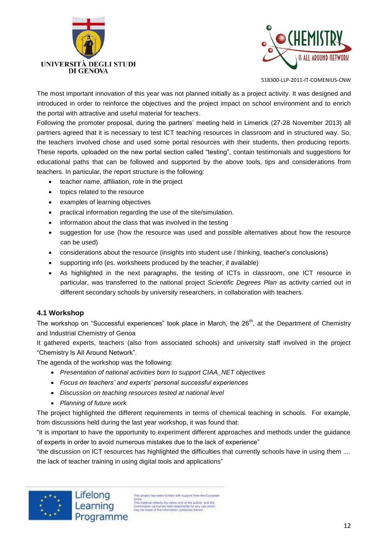



The most important innovation of this year was not planned initially as a project activity. It was designed and introduced in order to reinforce the objectives and the project impact on school environment and to enrich the portal with attractive and useful material for teachers.

Following the promoter proposal, during the partners' meeting held in Limerick (27-28 November 2013) all partners agreed that it is necessary to test ICT teaching resources in classroom and in structured way. So, the teachers involved chose and used some portal resources with their students, then producing reports. These reports, uploaded on the new portal section called "testing", contain testimonials and suggestions for educational paths that can be followed and supported by the above tools, tips and considerations from teachers. In particular, the report structure is the following:

- teacher name, affiliation, role in the project
- topics related to the resource
- examples of learning objectives
- practical information regarding the use of the site/simulation.
- information about the class that was involved in the testing
- suggestion for use (how the resource was used and possible alternatives about how the resource can be used)
- considerations about the resource (insights into student use / thinking, teacher's conclusions)
- supporting info (es. worksheets produced by the teacher, if available)
- As highlighted in the next paragraphs, the testing of ICTs in classroom, one ICT resource in particular, was transferred to the national project *Scientific Degrees Plan* as activity carried out in different secondary schools by university researchers, in collaboration with teachers.

## **4.1 Workshop**

The workshop on "Successful experiences" took place in March, the 26<sup>th</sup>, at the Department of Chemistry and Industrial Chemistry of Genoa

It gathered experts, teachers (also from associated schools) and university staff involved in the project "Chemistry Is All Around Network".

The agenda of the workshop was the following:

- *Presentation of national activities born to support CIAA\_NET objectives*
- *Focus on teachers' and experts' personal successful experiences*
- *Discussion on teaching resources tested at national level*
- *Planning of future work*

The project highlighted the different requirements in terms of chemical teaching in schools. For example, from discussions held during the last year workshop, it was found that:

"it is important to have the opportunity to experiment different approaches and methods under the guidance of experts in order to avoid numerous mistakes due to the lack of experience"

"the discussion on ICT resources has highlighted the difficulties that currently schools have in using them .... the lack of teacher training in using digital tools and applications"



is project has been funded with support from the European Union.<br>This moterial reflects the views only of the author, and the<br>Commission cannot be hield responsible for any use which<br>may be made of the information contained therein<br>may be made of the information contained therein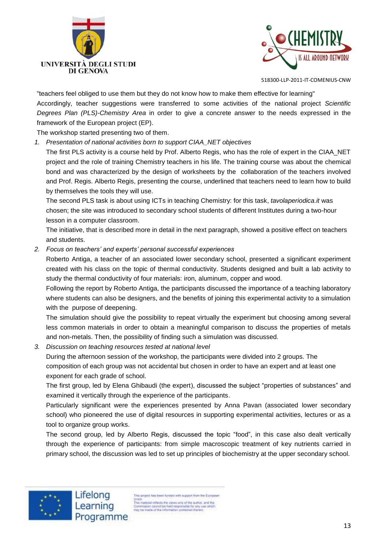



"teachers feel obliged to use them but they do not know how to make them effective for learning"

Accordingly, teacher suggestions were transferred to some activities of the national project *Scientific Degrees Plan (PLS)-Chemistry Area* in order to give a concrete answer to the needs expressed in the framework of the European project (EP).

The workshop started presenting two of them.

*1. Presentation of national activities born to support CIAA\_NET objectives*

The first PLS activity is a course held by Prof. Alberto Regis, who has the role of expert in the CIAA\_NET project and the role of training Chemistry teachers in his life. The training course was about the chemical bond and was characterized by the design of worksheets by the collaboration of the teachers involved and Prof. Regis. Alberto Regis, presenting the course, underlined that teachers need to learn how to build by themselves the tools they will use.

The second PLS task is about using ICTs in teaching Chemistry: for this task, *tavolaperiodica.it* was chosen; the site was introduced to secondary school students of different Institutes during a two-hour lesson in a computer classroom.

The initiative, that is described more in detail in the next paragraph, showed a positive effect on teachers and students.

*2. Focus on teachers' and experts' personal successful experiences*

Roberto Antiga, a teacher of an associated lower secondary school, presented a significant experiment created with his class on the topic of thermal conductivity. Students designed and built a lab activity to study the thermal conductivity of four materials: iron, aluminum, copper and wood.

Following the report by Roberto Antiga, the participants discussed the importance of a teaching laboratory where students can also be designers, and the benefits of joining this experimental activity to a simulation with the purpose of deepening.

The simulation should give the possibility to repeat virtually the experiment but choosing among several less common materials in order to obtain a meaningful comparison to discuss the properties of metals and non-metals. Then, the possibility of finding such a simulation was discussed.

*3. Discussion on teaching resources tested at national level*

During the afternoon session of the workshop, the participants were divided into 2 groups. The composition of each group was not accidental but chosen in order to have an expert and at least one exponent for each grade of school.

The first group, led by Elena Ghibaudi (the expert), discussed the subject "properties of substances" and examined it vertically through the experience of the participants.

Particularly significant were the experiences presented by Anna Pavan (associated lower secondary school) who pioneered the use of digital resources in supporting experimental activities, lectures or as a tool to organize group works.

The second group, led by Alberto Regis, discussed the topic "food", in this case also dealt vertically through the experience of participants: from simple macroscopic treatment of key nutrients carried in primary school, the discussion was led to set up principles of biochemistry at the upper secondary school.



his project has been funded with support from the European Union.<br>
This material reflects the views only of the author, and the<br>
This material reflects the hidd responsible for any use which<br>
may be made of the information contained therein.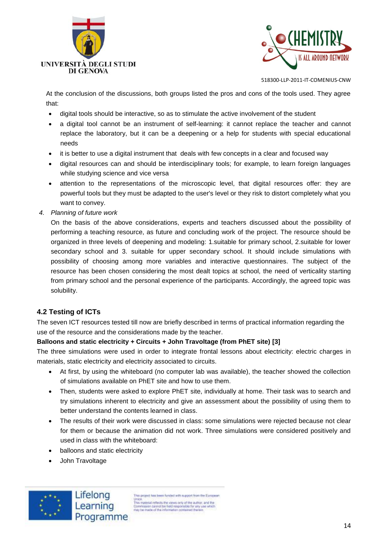



At the conclusion of the discussions, both groups listed the pros and cons of the tools used. They agree that:

- digital tools should be interactive, so as to stimulate the active involvement of the student
- a digital tool cannot be an instrument of self-learning: it cannot replace the teacher and cannot replace the laboratory, but it can be a deepening or a help for students with special educational needs
- it is better to use a digital instrument that deals with few concepts in a clear and focused way
- digital resources can and should be interdisciplinary tools; for example, to learn foreign languages while studying science and vice versa
- attention to the representations of the microscopic level, that digital resources offer: they are powerful tools but they must be adapted to the user's level or they risk to distort completely what you want to convey.
- *4. Planning of future work*

On the basis of the above considerations, experts and teachers discussed about the possibility of performing a teaching resource, as future and concluding work of the project. The resource should be organized in three levels of deepening and modeling: 1.suitable for primary school, 2.suitable for lower secondary school and 3. suitable for upper secondary school. It should include simulations with possibility of choosing among more variables and interactive questionnaires. The subject of the resource has been chosen considering the most dealt topics at school, the need of verticality starting from primary school and the personal experience of the participants. Accordingly, the agreed topic was solubility.

## **4.2 Testing of ICTs**

The seven ICT resources tested till now are briefly described in terms of practical information regarding the use of the resource and the considerations made by the teacher.

#### **Balloons and static electricity + Circuits + John Travoltage (from PhET site) [3]**

The three simulations were used in order to integrate frontal lessons about electricity: electric charges in materials, static electricity and electricity associated to circuits.

- At first, by using the whiteboard (no computer lab was available), the teacher showed the collection of simulations available on PhET site and how to use them.
- Then, students were asked to explore PhET site, individually at home. Their task was to search and try simulations inherent to electricity and give an assessment about the possibility of using them to better understand the contents learned in class.
- The results of their work were discussed in class: some simulations were rejected because not clear for them or because the animation did not work. Three simulations were considered positively and used in class with the whiteboard:
- balloons and static electricity
- John Travoltage



is project has been funded with support from the European Union.<br>This material reflects the views only of the author, and the<br>Commission cannot be hield responsible for any use which<br>may be made of the information contained therein.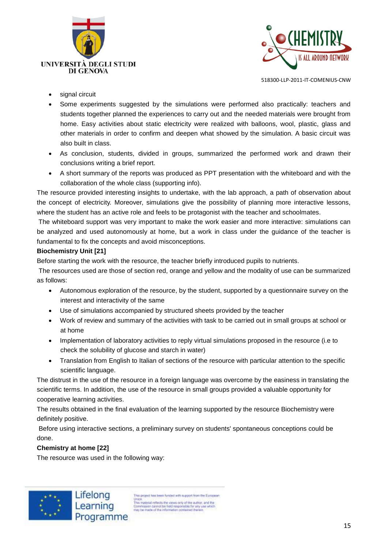



- signal circuit
- Some experiments suggested by the simulations were performed also practically: teachers and students together planned the experiences to carry out and the needed materials were brought from home. Easy activities about static electricity were realized with balloons, wool, plastic, glass and other materials in order to confirm and deepen what showed by the simulation. A basic circuit was also built in class.
- As conclusion, students, divided in groups, summarized the performed work and drawn their conclusions writing a brief report.
- A short summary of the reports was produced as PPT presentation with the whiteboard and with the collaboration of the whole class (supporting info).

The resource provided interesting insights to undertake, with the lab approach, a path of observation about the concept of electricity. Moreover, simulations give the possibility of planning more interactive lessons, where the student has an active role and feels to be protagonist with the teacher and schoolmates.

The whiteboard support was very important to make the work easier and more interactive: simulations can be analyzed and used autonomously at home, but a work in class under the guidance of the teacher is fundamental to fix the concepts and avoid misconceptions.

## **Biochemistry Unit [21]**

Before starting the work with the resource, the teacher briefly introduced pupils to nutrients.

The resources used are those of section red, orange and yellow and the modality of use can be summarized as follows:

- Autonomous exploration of the resource, by the student, supported by a questionnaire survey on the interest and interactivity of the same
- Use of simulations accompanied by structured sheets provided by the teacher
- Work of review and summary of the activities with task to be carried out in small groups at school or at home
- Implementation of laboratory activities to reply virtual simulations proposed in the resource (i.e to check the solubility of glucose and starch in water)
- Translation from English to Italian of sections of the resource with particular attention to the specific scientific language.

The distrust in the use of the resource in a foreign language was overcome by the easiness in translating the scientific terms. In addition, the use of the resource in small groups provided a valuable opportunity for cooperative learning activities.

The results obtained in the final evaluation of the learning supported by the resource Biochemistry were definitely positive.

Before using interactive sections, a preliminary survey on students' spontaneous conceptions could be done.

**Chemistry at home [22]**

The resource was used in the following way:



is project has been funded with support from the European Union.<br>This material reflects the views only of the author, and the<br>Commission cannot be hield responsible for any use which<br>may be made of the information contained therein.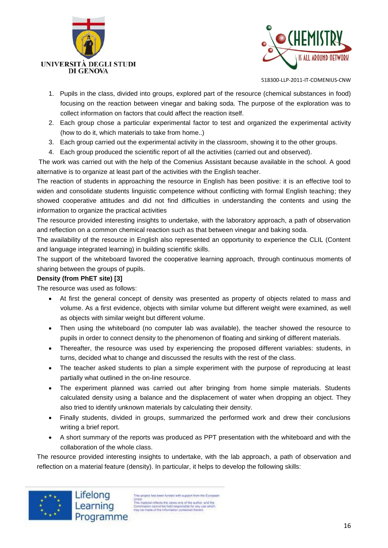



- 1. Pupils in the class, divided into groups, explored part of the resource (chemical substances in food) focusing on the reaction between vinegar and baking soda. The purpose of the exploration was to collect information on factors that could affect the reaction itself.
- 2. Each group chose a particular experimental factor to test and organized the experimental activity (how to do it, which materials to take from home..)
- 3. Each group carried out the experimental activity in the classroom, showing it to the other groups.
- 4. Each group produced the scientific report of all the activities (carried out and observed).

The work was carried out with the help of the Comenius Assistant because available in the school. A good alternative is to organize at least part of the activities with the English teacher.

The reaction of students in approaching the resource in English has been positive: it is an effective tool to widen and consolidate students linguistic competence without conflicting with formal English teaching; they showed cooperative attitudes and did not find difficulties in understanding the contents and using the information to organize the practical activities

The resource provided interesting insights to undertake, with the laboratory approach, a path of observation and reflection on a common chemical reaction such as that between vinegar and baking soda.

The availability of the resource in English also represented an opportunity to experience the CLIL (Content and language integrated learning) in building scientific skills.

The support of the whiteboard favored the cooperative learning approach, through continuous moments of sharing between the groups of pupils.

## **Density (from PhET site) [3]**

The resource was used as follows:

- At first the general concept of density was presented as property of objects related to mass and volume. As a first evidence, objects with similar volume but different weight were examined, as well as objects with similar weight but different volume.
- Then using the whiteboard (no computer lab was available), the teacher showed the resource to pupils in order to connect density to the phenomenon of floating and sinking of different materials.
- Thereafter, the resource was used by experiencing the proposed different variables: students, in turns, decided what to change and discussed the results with the rest of the class.
- The teacher asked students to plan a simple experiment with the purpose of reproducing at least partially what outlined in the on-line resource.
- The experiment planned was carried out after bringing from home simple materials. Students calculated density using a balance and the displacement of water when dropping an object. They also tried to identify unknown materials by calculating their density.
- Finally students, divided in groups, summarized the performed work and drew their conclusions writing a brief report.
- A short summary of the reports was produced as PPT presentation with the whiteboard and with the collaboration of the whole class.

The resource provided interesting insights to undertake, with the lab approach, a path of observation and reflection on a material feature (density). In particular, it helps to develop the following skills:



is project has been funded with support from the European Union.<br>This moterial reflects the views only of the author, and the<br>Commission cannot be hild responsible for any use which<br>may be made of the information contained therein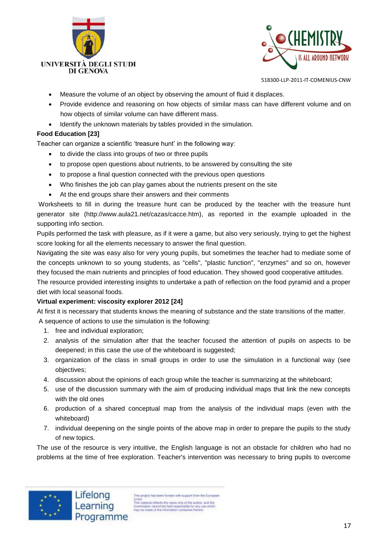



- Measure the volume of an object by observing the amount of fluid it displaces.
- Provide evidence and reasoning on how objects of similar mass can have different volume and on how objects of similar volume can have different mass.
- Identify the unknown materials by tables provided in the simulation.

## **Food Education [23]**

Teacher can organize a scientific 'treasure hunt' in the following way:

- to divide the class into groups of two or three pupils
- to propose open questions about nutrients, to be answered by consulting the site
- to propose a final question connected with the previous open questions
- Who finishes the job can play games about the nutrients present on the site
- At the end groups share their answers and their comments

Worksheets to fill in during the treasure hunt can be produced by the teacher with the treasure hunt generator site (http://www.aula21.net/cazas/cacce.htm), as reported in the example uploaded in the supporting info section.

Pupils performed the task with pleasure, as if it were a game, but also very seriously, trying to get the highest score looking for all the elements necessary to answer the final question.

Navigating the site was easy also for very young pupils, but sometimes the teacher had to mediate some of the concepts unknown to so young students, as "cells", "plastic function", "enzymes" and so on, however they focused the main nutrients and principles of food education. They showed good cooperative attitudes.

The resource provided interesting insights to undertake a path of reflection on the food pyramid and a proper diet with local seasonal foods.

## **Virtual experiment: viscosity explorer 2012 [24]**

At first it is necessary that students knows the meaning of substance and the state transitions of the matter.

A sequence of actions to use the simulation is the following:

- 1. free and individual exploration;
- 2. analysis of the simulation after that the teacher focused the attention of pupils on aspects to be deepened; in this case the use of the whiteboard is suggested;
- 3. organization of the class in small groups in order to use the simulation in a functional way (see objectives;
- 4. discussion about the opinions of each group while the teacher is summarizing at the whiteboard;
- 5. use of the discussion summary with the aim of producing individual maps that link the new concepts with the old ones
- 6. production of a shared conceptual map from the analysis of the individual maps (even with the whiteboard)
- 7. individual deepening on the single points of the above map in order to prepare the pupils to the study of new topics.

The use of the resource is very intuitive, the English language is not an obstacle for children who had no problems at the time of free exploration. Teacher's intervention was necessary to bring pupils to overcome



his project has been funded with support from the European Union<br>This material reflects the views only of the author, and the<br>Commission cannot be hield responsible for any use which<br>may be made of the information contained therein<br>may be made of the information contained therein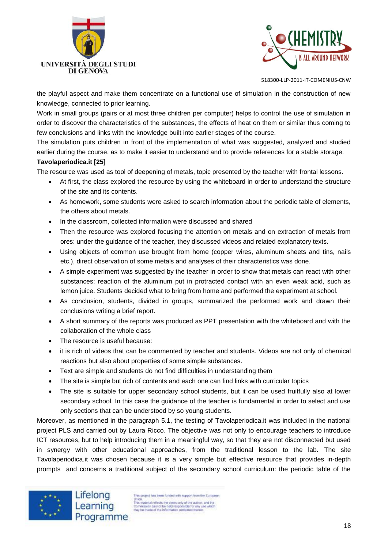



the playful aspect and make them concentrate on a functional use of simulation in the construction of new knowledge, connected to prior learning.

Work in small groups (pairs or at most three children per computer) helps to control the use of simulation in order to discover the characteristics of the substances, the effects of heat on them or similar thus coming to few conclusions and links with the knowledge built into earlier stages of the course.

The simulation puts children in front of the implementation of what was suggested, analyzed and studied earlier during the course, as to make it easier to understand and to provide references for a stable storage.

# **Tavolaperiodica.it [25]**

The resource was used as tool of deepening of metals, topic presented by the teacher with frontal lessons.

- At first, the class explored the resource by using the whiteboard in order to understand the structure of the site and its contents.
- As homework, some students were asked to search information about the periodic table of elements, the others about metals.
- In the classroom, collected information were discussed and shared
- Then the resource was explored focusing the attention on metals and on extraction of metals from ores: under the guidance of the teacher, they discussed videos and related explanatory texts.
- Using objects of common use brought from home (copper wires, aluminum sheets and tins, nails etc.), direct observation of some metals and analyses of their characteristics was done.
- A simple experiment was suggested by the teacher in order to show that metals can react with other substances: reaction of the aluminum put in protracted contact with an even weak acid, such as lemon juice. Students decided what to bring from home and performed the experiment at school.
- As conclusion, students, divided in groups, summarized the performed work and drawn their conclusions writing a brief report.
- A short summary of the reports was produced as PPT presentation with the whiteboard and with the collaboration of the whole class
- The resource is useful because:
- it is rich of videos that can be commented by teacher and students. Videos are not only of chemical reactions but also about properties of some simple substances.
- Text are simple and students do not find difficulties in understanding them
- The site is simple but rich of contents and each one can find links with curricular topics
- The site is suitable for upper secondary school students, but it can be used fruitfully also at lower secondary school. In this case the guidance of the teacher is fundamental in order to select and use only sections that can be understood by so young students.

Moreover, as mentioned in the paragraph 5.1, the testing of Tavolaperiodica.it was included in the national project PLS and carried out by Laura Ricco. The objective was not only to encourage teachers to introduce ICT resources, but to help introducing them in a meaningful way, so that they are not disconnected but used in synergy with other educational approaches, from the traditional lesson to the lab. The site Tavolaperiodica.it was chosen because it is a very simple but effective resource that provides in-depth prompts and concerns a traditional subject of the secondary school curriculum: the periodic table of the



Lifelong Learning Programme

is project has been funded with support from the European Union.<br>This material reflects the views only of the author, and the<br>Commission cannot be held responsible for any use which<br>may be made of the information contained therein.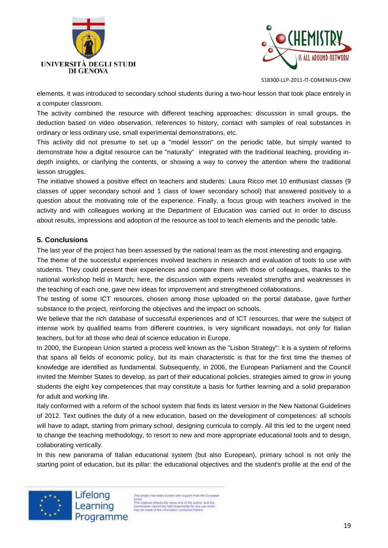



elements. It was introduced to secondary school students during a two-hour lesson that took place entirely in a computer classroom.

The activity combined the resource with different teaching approaches: discussion in small groups, the deduction based on video observation, references to history, contact with samples of real substances in ordinary or less ordinary use, small experimental demonstrations, etc.

This activity did not presume to set up a "model lesson" on the periodic table, but simply wanted to demonstrate how a digital resource can be "naturally" integrated with the traditional teaching, providing indepth insights, or clarifying the contents, or showing a way to convey the attention where the traditional lesson struggles.

The initiative showed a positive effect on teachers and students: Laura Ricco met 10 enthusiast classes (9 classes of upper secondary school and 1 class of lower secondary school) that answered positively to a question about the motivating role of the experience. Finally, a focus group with teachers involved in the activity and with colleagues working at the Department of Education was carried out in order to discuss about results, impressions and adoption of the resource as tool to teach elements and the periodic table.

## **5. Conclusions**

The last year of the project has been assessed by the national team as the most interesting and engaging.

The theme of the successful experiences involved teachers in research and evaluation of tools to use with students. They could present their experiences and compare them with those of colleagues, thanks to the national workshop held in March; here, the discussion with experts revealed strengths and weaknesses in the teaching of each one, gave new ideas for improvement and strengthened collaborations.

The testing of some ICT resources, chosen among those uploaded on the portal database, gave further substance to the project, reinforcing the objectives and the impact on schools.

We believe that the rich database of successful experiences and of ICT resources, that were the subject of intense work by qualified teams from different countries, is very significant nowadays, not only for Italian teachers, but for all those who deal of science education in Europe.

In 2000, the European Union started a process well known as the "Lisbon Strategy": it is a system of reforms that spans all fields of economic policy, but its main characteristic is that for the first time the themes of knowledge are identified as fundamental. Subsequently, in 2006, the European Parliament and the Council invited the Member States to develop, as part of their educational policies, strategies aimed to grow in young students the eight key competences that may constitute a basis for further learning and a solid preparation for adult and working life.

Italy conformed with a reform of the school system that finds its latest version in the New National Guidelines of 2012. Text outlines the duty of a new education, based on the development of competences: all schools will have to adapt, starting from primary school, designing curricula to comply. All this led to the urgent need to change the teaching methodology, to resort to new and more appropriate educational tools and to design, collaborating vertically.

In this new panorama of Italian educational system (but also European), primary school is not only the starting point of education, but its pillar: the educational objectives and the student's profile at the end of the



Lifelong<br>Learning is project has been funded with support from the European Union<br>
This material reflects the views only of the author, and the<br>
This material reflects the views only of the author, and the<br>
Commission cannot be hisld responsible for any use which<br>
may be made of the information co Programme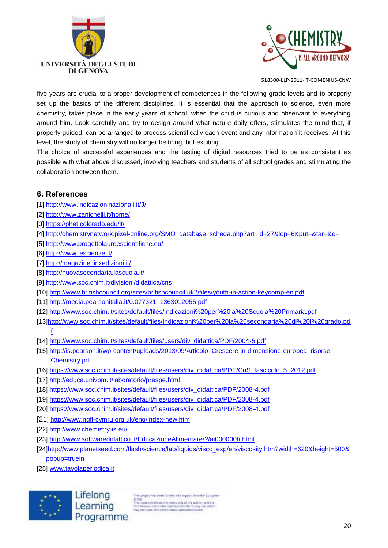



five years are crucial to a proper development of competences in the following grade levels and to properly set up the basics of the different disciplines. It is essential that the approach to science, even more chemistry, takes place in the early years of school, when the child is curious and observant to everything around him. Look carefully and try to design around what nature daily offers, stimulates the mind that, if properly guided, can be arranged to process scientifically each event and any information it receives. At this level, the study of chemistry will no longer be tiring, but exciting.

The choice of successful experiences and the testing of digital resources tried to be as consistent as possible with what above discussed, involving teachers and students of all school grades and stimulating the collaboration between them.

# **6. References**

- [1]<http://www.indicazioninazionali.it/J/>
- [2]<http://www.zanichelli.it/home/>
- [3]<https://phet.colorado.edu/it/>
- [4] [http://chemistrynetwork.pixel-online.org/SMO\\_database\\_scheda.php?art\\_id=27&lop=6&put=&tar=&q=](http://chemistrynetwork.pixel-online.org/SMO_database_scheda.php?art_id=27&lop=6&put=&tar=&q)
- [5]<http://www.progettolaureescientifiche.eu/>
- [6]<http://www.lescienze.it/>
- [7]<http://magazine.linxedizioni.it/>
- [8]<http://nuovasecondaria.lascuola.it/>
- [9]<http://www.soc.chim.it/divisioni/didattica/cns>
- [10]<http://www.britishcouncil.org/sites/britishcouncil.uk2/files/youth-in-action-keycomp-en.pdf>
- [11] [http://media.pearsonitalia.it/0.077321\\_1363012055.pdf](http://media.pearsonitalia.it/0.077321_1363012055.pdf)
- [12]<http://www.soc.chim.it/sites/default/files/Indicazioni%20per%20la%20Scuola%20Primaria.pdf>
- [13[\]http://www.soc.chim.it/sites/default/files/Indicazioni%20per%20la%20secondaria%20di%20I%20grado.pd](http://www.soc.chim.it/sites/default/files/Indicazioni%20per%20la%20secondaria%20di%20I%20grado.pdf) [f](http://www.soc.chim.it/sites/default/files/Indicazioni%20per%20la%20secondaria%20di%20I%20grado.pdf)
- [14] [http://www.soc.chim.it/sites/default/files/users/div\\_didattica/PDF/2004-5.pdf](http://www.soc.chim.it/sites/default/files/users/div_didattica/PDF/2004-5.pdf)
- [15] [http://is.pearson.it/wp-content/uploads/2013/09/Articolo\\_Crescere-in-dimensione-europea\\_risorse-](http://is.pearson.it/wp-content/uploads/2013/09/Articolo_Crescere-in-dimensione-europea_risorse-Chemistry.pdf)[Chemistry.pdf](http://is.pearson.it/wp-content/uploads/2013/09/Articolo_Crescere-in-dimensione-europea_risorse-Chemistry.pdf)
- [16] [https://www.soc.chim.it/sites/default/files/users/div\\_didattica/PDF/CnS\\_fascicolo\\_5\\_2012.pdf](https://www.soc.chim.it/sites/default/files/users/div_didattica/PDF/CnS_fascicolo_5_2012.pdf)
- [17]<http://educa.univpm.it/laboratorio/prespe.html>
- [18] [https://www.soc.chim.it/sites/default/files/users/div\\_didattica/PDF/2008-4.pdf](https://www.soc.chim.it/sites/default/files/users/div_didattica/PDF/2008-4.pdf)
- [19] [https://www.soc.chim.it/sites/default/files/users/div\\_didattica/PDF/2008-4.pdf](https://www.soc.chim.it/sites/default/files/users/div_didattica/PDF/2008-4.pdf)
- [20] [https://www.soc.chim.it/sites/default/files/users/div\\_didattica/PDF/2008-4.pdf](https://www.soc.chim.it/sites/default/files/users/div_didattica/PDF/2008-4.pdf)
- [21]<http://www.ngfl-cymru.org.uk/eng/index-new.htm>
- [22] <http://www.chemistry-is.eu/>
- [23]<http://www.softwaredidattico.it/EducazioneAlimentare/?/ai000000h.html>
- [24[\]http://www.planetseed.com/flash/science/lab/liquids/visco\\_exp/en/viscosity.htm?width=620&height=500&](http://www.planetseed.com/flash/science/lab/liquids/visco_exp/en/viscosity.htm?width=620&height=500&popup=truein) [popup=truein](http://www.planetseed.com/flash/science/lab/liquids/visco_exp/en/viscosity.htm?width=620&height=500&popup=truein)
- [25] [www.tavolaperiodica.it](http://www.tavolaperiodica.it/)



Lifelong Learning Programme

is project has been funded with support from the European Union<br>This material reflects the views only of the author, and the<br>Commission cannot be held responsible for any use which<br>may be made of the information contained therein.

20